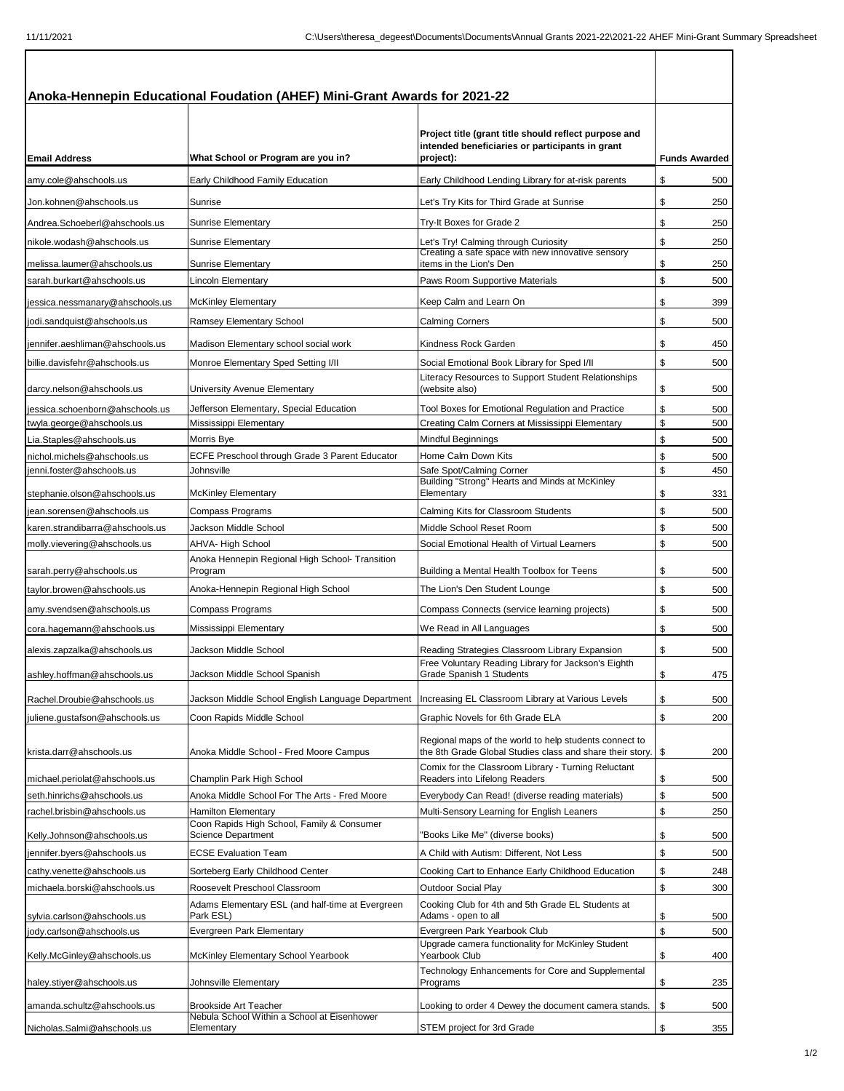| <b>Email Address</b>                                      | What School or Program are you in?                                                                    | Project title (grant title should reflect purpose and<br>intended beneficiaries or participants in grant<br>project):                                   |          | <b>Funds Awarded</b> |  |
|-----------------------------------------------------------|-------------------------------------------------------------------------------------------------------|---------------------------------------------------------------------------------------------------------------------------------------------------------|----------|----------------------|--|
| amy.cole@ahschools.us                                     | Early Childhood Family Education                                                                      | Early Childhood Lending Library for at-risk parents                                                                                                     | \$       | 500                  |  |
| Jon.kohnen@ahschools.us                                   | Sunrise                                                                                               | Let's Try Kits for Third Grade at Sunrise                                                                                                               | \$       | 250                  |  |
| Andrea.Schoeberl@ahschools.us                             | <b>Sunrise Elementary</b>                                                                             | Try-It Boxes for Grade 2                                                                                                                                | \$       | 250                  |  |
| nikole.wodash@ahschools.us                                | <b>Sunrise Elementary</b>                                                                             | Let's Try! Calming through Curiosity                                                                                                                    | \$       | 250                  |  |
|                                                           |                                                                                                       | Creating a safe space with new innovative sensory                                                                                                       |          |                      |  |
| melissa.laumer@ahschools.us                               | <b>Sunrise Elementary</b>                                                                             | items in the Lion's Den                                                                                                                                 | \$       | 250                  |  |
| sarah.burkart@ahschools.us                                | Lincoln Elementary                                                                                    | Paws Room Supportive Materials                                                                                                                          | \$       | 500                  |  |
| jessica.nessmanary@ahschools.us                           | <b>McKinley Elementary</b>                                                                            | Keep Calm and Learn On                                                                                                                                  | \$       | 399                  |  |
| jodi.sandquist@ahschools.us                               | Ramsey Elementary School                                                                              | <b>Calming Corners</b>                                                                                                                                  | \$       | 500                  |  |
| jennifer.aeshliman@ahschools.us                           | Madison Elementary school social work                                                                 | Kindness Rock Garden                                                                                                                                    | \$       | 450                  |  |
| billie.davisfehr@ahschools.us                             | Monroe Elementary Sped Setting I/II                                                                   | Social Emotional Book Library for Sped I/II                                                                                                             | \$       | 500                  |  |
| darcy.nelson@ahschools.us                                 | University Avenue Elementary                                                                          | Literacy Resources to Support Student Relationships<br>(website also)                                                                                   | \$       | 500                  |  |
| iessica.schoenborn@ahschools.us                           | Jefferson Elementary, Special Education                                                               | Tool Boxes for Emotional Regulation and Practice                                                                                                        | \$       | 500                  |  |
| twyla.george@ahschools.us                                 | Mississippi Elementary                                                                                | Creating Calm Corners at Mississippi Elementary                                                                                                         | \$       | 500                  |  |
| Lia.Staples@ahschools.us                                  | Morris Bye                                                                                            | Mindful Beginnings                                                                                                                                      | \$       | 500                  |  |
| nichol.michels@ahschools.us                               | ECFE Preschool through Grade 3 Parent Educator                                                        | Home Calm Down Kits                                                                                                                                     | \$       | 500                  |  |
| jenni.foster@ahschools.us<br>stephanie.olson@ahschools.us | Johnsville<br><b>McKinley Elementary</b>                                                              | Safe Spot/Calming Corner<br>Building "Strong" Hearts and Minds at McKinley<br>Elementary                                                                | \$<br>\$ | 450<br>331           |  |
| jean.sorensen@ahschools.us                                | Compass Programs                                                                                      | Calming Kits for Classroom Students                                                                                                                     | \$       | 500                  |  |
| karen.strandibarra@ahschools.us                           | Jackson Middle School                                                                                 | Middle School Reset Room                                                                                                                                | \$       | 500                  |  |
| molly.vievering@ahschools.us                              | <b>AHVA- High School</b>                                                                              | Social Emotional Health of Virtual Learners                                                                                                             | \$       | 500                  |  |
| sarah.perry@ahschools.us                                  | Anoka Hennepin Regional High School- Transition<br>Program                                            | Building a Mental Health Toolbox for Teens                                                                                                              | \$       | 500                  |  |
| taylor.browen@ahschools.us                                | Anoka-Hennepin Regional High School                                                                   | The Lion's Den Student Lounge                                                                                                                           | \$       | 500                  |  |
| amy.svendsen@ahschools.us                                 | Compass Programs                                                                                      | Compass Connects (service learning projects)                                                                                                            | \$       | 500                  |  |
| cora.hagemann@ahschools.us                                | Mississippi Elementary                                                                                | We Read in All Languages                                                                                                                                | \$       | 500                  |  |
| alexis.zapzalka@ahschools.us                              | Jackson Middle School                                                                                 | Reading Strategies Classroom Library Expansion                                                                                                          | \$       | 500                  |  |
| ashley.hoffman@ahschools.us                               | Jackson Middle School Spanish                                                                         | Free Voluntary Reading Library for Jackson's Eighth<br>Grade Spanish 1 Students                                                                         | \$       | 475                  |  |
| Rachel.Droubie@ahschools.us                               | Jackson Middle School English Language Department                                                     | Increasing EL Classroom Library at Various Levels                                                                                                       | \$       |                      |  |
|                                                           |                                                                                                       |                                                                                                                                                         |          | 500                  |  |
| uliene.gustafson@ahschools.us<br>krista.darr@ahschools.us | Coon Rapids Middle School<br>Anoka Middle School - Fred Moore Campus                                  | Graphic Novels for 6th Grade ELA<br>Regional maps of the world to help students connect to<br>the 8th Grade Global Studies class and share their story. | \$<br>\$ | 200<br>200           |  |
|                                                           |                                                                                                       | Comix for the Classroom Library - Turning Reluctant                                                                                                     |          |                      |  |
| michael.periolat@ahschools.us                             | Champlin Park High School                                                                             | Readers into Lifelong Readers                                                                                                                           | \$       | 500                  |  |
| seth.hinrichs@ahschools.us                                | Anoka Middle School For The Arts - Fred Moore                                                         | Everybody Can Read! (diverse reading materials)                                                                                                         | \$       | 500                  |  |
| rachel.brisbin@ahschools.us<br>Kelly.Johnson@ahschools.us | <b>Hamilton Elementary</b><br>Coon Rapids High School, Family & Consumer<br><b>Science Department</b> | Multi-Sensory Learning for English Leaners<br>'Books Like Me" (diverse books)                                                                           | \$<br>\$ | 250<br>500           |  |
| jennifer.byers@ahschools.us                               | <b>ECSE Evaluation Team</b>                                                                           | A Child with Autism: Different, Not Less                                                                                                                | \$       | 500                  |  |
| cathy.venette@ahschools.us                                | Sorteberg Early Childhood Center                                                                      | Cooking Cart to Enhance Early Childhood Education                                                                                                       | \$       | 248                  |  |
| michaela.borski@ahschools.us                              | Roosevelt Preschool Classroom                                                                         | <b>Outdoor Social Play</b>                                                                                                                              | \$       | 300                  |  |
| sylvia.carlson@ahschools.us                               | Adams Elementary ESL (and half-time at Evergreen<br>Park ESL)                                         | Cooking Club for 4th and 5th Grade EL Students at<br>Adams - open to all                                                                                | \$       | 500                  |  |
| jody.carlson@ahschools.us                                 | Evergreen Park Elementary                                                                             | Evergreen Park Yearbook Club                                                                                                                            | \$       | 500                  |  |
| Kelly.McGinley@ahschools.us                               | McKinley Elementary School Yearbook                                                                   | Upgrade camera functionality for McKinley Student<br>Yearbook Club                                                                                      | \$       | 400                  |  |
| haley.stiyer@ahschools.us                                 | Johnsville Elementary                                                                                 | Technology Enhancements for Core and Supplemental<br>Programs                                                                                           | \$       | 235                  |  |
| amanda.schultz@ahschools.us                               | Brookside Art Teacher<br>Nebula School Within a School at Eisenhower                                  | Looking to order 4 Dewey the document camera stands.                                                                                                    | \$       | 500                  |  |
| Nicholas.Salmi@ahschools.us                               | Elementary                                                                                            | STEM project for 3rd Grade                                                                                                                              | \$       | 355                  |  |